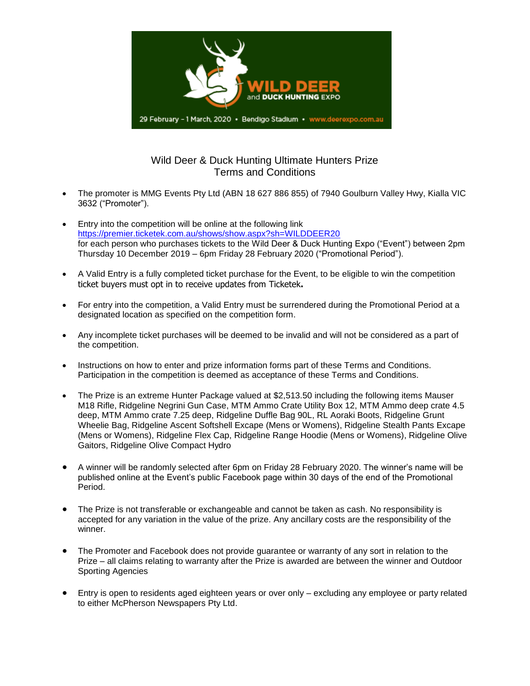

## Wild Deer & Duck Hunting Ultimate Hunters Prize Terms and Conditions

- The promoter is MMG Events Pty Ltd (ABN 18 627 886 855) of 7940 Goulburn Valley Hwy, Kialla VIC 3632 ("Promoter").
- Entry into the competition will be online at the following link <https://premier.ticketek.com.au/shows/show.aspx?sh=WILDDEER20> for each person who purchases tickets to the Wild Deer & Duck Hunting Expo ("Event") between 2pm Thursday 10 December 2019 – 6pm Friday 28 February 2020 ("Promotional Period").
- A Valid Entry is a fully completed ticket purchase for the Event, to be eligible to win the competition ticket buyers must opt in to receive updates from Ticketek**.**
- For entry into the competition, a Valid Entry must be surrendered during the Promotional Period at a designated location as specified on the competition form.
- Any incomplete ticket purchases will be deemed to be invalid and will not be considered as a part of the competition.
- Instructions on how to enter and prize information forms part of these Terms and Conditions. Participation in the competition is deemed as acceptance of these Terms and Conditions.
- The Prize is an extreme Hunter Package valued at \$2,513.50 including the following items Mauser M18 Rifle, Ridgeline Negrini Gun Case, MTM Ammo Crate Utility Box 12, MTM Ammo deep crate 4.5 deep, MTM Ammo crate 7.25 deep, Ridgeline Duffle Bag 90L, RL Aoraki Boots, Ridgeline Grunt Wheelie Bag, Ridgeline Ascent Softshell Excape (Mens or Womens), Ridgeline Stealth Pants Excape (Mens or Womens), Ridgeline Flex Cap, Ridgeline Range Hoodie (Mens or Womens), Ridgeline Olive Gaitors, Ridgeline Olive Compact Hydro
- A winner will be randomly selected after 6pm on Friday 28 February 2020. The winner's name will be published online at the Event's public Facebook page within 30 days of the end of the Promotional Period.
- The Prize is not transferable or exchangeable and cannot be taken as cash. No responsibility is accepted for any variation in the value of the prize. Any ancillary costs are the responsibility of the winner.
- The Promoter and Facebook does not provide guarantee or warranty of any sort in relation to the Prize – all claims relating to warranty after the Prize is awarded are between the winner and Outdoor Sporting Agencies
- Entry is open to residents aged eighteen years or over only excluding any employee or party related to either McPherson Newspapers Pty Ltd.